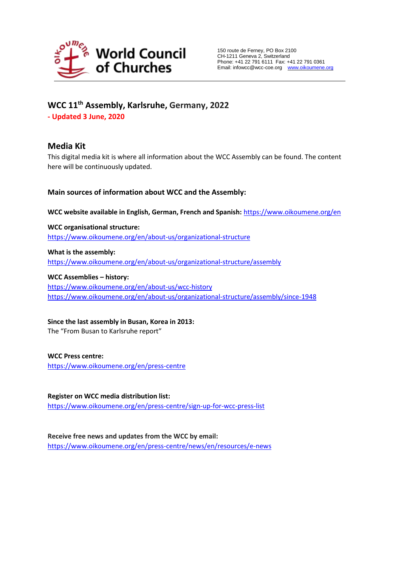

# **WCC 11th Assembly, Karlsruhe, Germany, 2022**

**- Updated 3 June, 2020**

# **Media Kit**

This digital media kit is where all information about the WCC Assembly can be found. The content here will be continuously updated.

# **Main sources of information about WCC and the Assembly:**

**WCC website available in English, German, French and Spanish:** <https://www.oikoumene.org/en>

**WCC organisational structure:** <https://www.oikoumene.org/en/about-us/organizational-structure>

**What is the assembly:** <https://www.oikoumene.org/en/about-us/organizational-structure/assembly>

### **WCC Assemblies – history:**

<https://www.oikoumene.org/en/about-us/wcc-history> <https://www.oikoumene.org/en/about-us/organizational-structure/assembly/since-1948>

**Since the last assembly in Busan, Korea in 2013:**

The "From Busan to Karlsruhe report"

**WCC Press centre:**

<https://www.oikoumene.org/en/press-centre>

**Register on WCC media distribution list:** <https://www.oikoumene.org/en/press-centre/sign-up-for-wcc-press-list>

**Receive free news and updates from the WCC by email:**  <https://www.oikoumene.org/en/press-centre/news/en/resources/e-news>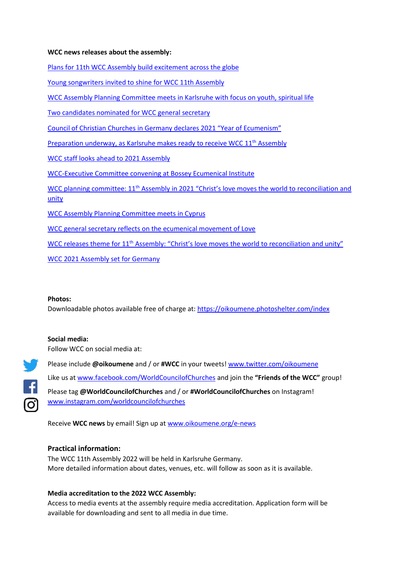## **WCC news releases about the assembly:**

[Plans for 11th WCC Assembly build excitement across the globe](https://www.oikoumene.org/en/press-centre/news/plans-for-11th-wcc-assembly-build-excitement-across-the-globe-1)

[Young songwriters invited to shine for WCC 11th Assembly](https://www.oikoumene.org/en/press-centre/news/young-songwriters-invited-to-shine-for-wcc-11th-assembly)

[WCC Assembly Planning Committee meets in Karlsruhe with focus on youth, spiritual life](https://www.oikoumene.org/en/press-centre/news/wcc-assembly-planning-committee-meets-in-karlsruhe-with-focus-on-youth-spiritual-life)

[Two candidates nominated for](https://www.oikoumene.org/en/press-centre/news/two-candidates-nominated-for-wcc-general-secretary-2) WCC general secretary

Council of Christian Churches in [Germany declares](https://www.oikoumene.org/en/press-centre/news/council-of-christian-churches-in-germany-declares-2021-year-of-ecumenism-1) 2021 "Year of Ecumenism"

Preparation [underway, as](https://www.oikoumene.org/en/press-centre/news/preparation-underway-as-karlsruhe-makes-ready-to-receive-wcc-11th-assembly) Karlsruhe makes ready to receive WCC 11<sup>th</sup> Assembly

WCC staff [looks ahead to](https://www.oikoumene.org/en/press-centre/news/wcc-staff-looks-ahead-to-2021-assembly) 2021 Assembly

WCC-Executive Committee convening at [Bossey Ecumenical Institute](https://www.oikoumene.org/en/press-centre/news/wcc-executive-committee-convening-at-bossey-ecumenical-institute)

WCC planning committee:  $11<sup>th</sup>$  Assembly in 2021 "Christ's love moves the world to reconciliation and [unity](https://www.oikoumene.org/en/press-centre/news/wcc-planning-committee-11th-assembly-in-2021-christs-love-moves-the-world-to-reconciliation-and-unity)

[WCC Assembly Planning Committee meets in Cyprus](https://www.oikoumene.org/en/press-centre/news/wcc-assembly-planning-committee-meets-in-cyprus)

[WCC general secretary](https://www.oikoumene.org/en/press-centre/news/wcc-general-secretary-reflects-on-the-ecumenical-movement-of-love) reflects on the ecumenical movement of Love

WCC releases theme for 11<sup>th</sup> Assembly: "Christ's love [moves the world to](https://www.oikoumene.org/en/press-centre/news/wcc-releases-theme-for-11th-assembly-christs-love-moves-the-world-to-reconciliation-and-unity) reconciliation and unity"

[WCC 2021](https://www.oikoumene.org/en/press-centre/news/wcc-2021-assembly-set-for-germany) Assembly set for Germany

#### **Photos:**

Downloadable photos available free of charge at:<https://oikoumene.photoshelter.com/index>

### **Social media:**

Follow WCC on social media at:



Please include **@oikoumene** and / or **#WCC** in your tweets! [www.twitter.com/oikoumene](http://www.twitter.com/oikoumene) Like us at [www.facebook.com/WorldCouncilofChurches](http://www.facebook.com/WorldCouncilofChurches) and join the **"Friends of the WCC"** group! Please tag **@WorldCouncilofChurches** and / or **#WorldCouncilofChurches** on Instagram! [www.instagram.com/worldcouncilofchurches](http://www.instagram.com/worldcouncilofchurches)

Receive **WCC news** by email! Sign up at [www.oikoumene.org/e-news](http://www.oikoumene.org/e-news)

## **Practical information:**

The WCC 11th Assembly 2022 will be held in Karlsruhe Germany. More detailed information about dates, venues, etc. will follow as soon as it is available.

### **Media accreditation to the 2022 WCC Assembly:**

Access to media events at the assembly require media accreditation. Application form will be available for downloading and sent to all media in due time.